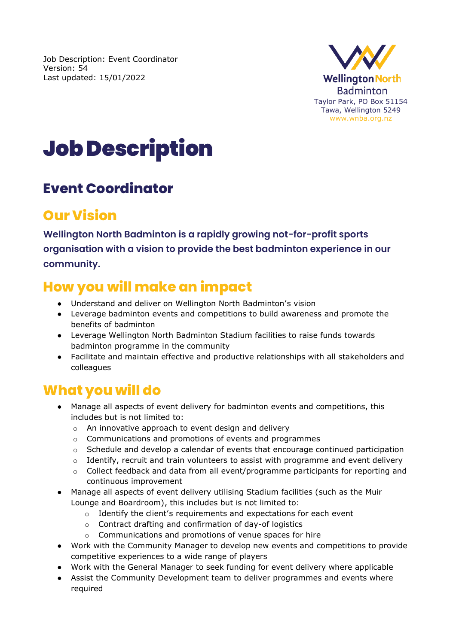Job Description: Event Coordinator Version: 54 Last updated: 15/01/2022



# Job Description

### **Event Coordinator**

# **Our Vision**

**Wellington North Badminton is a rapidly growing not-for-profit sports organisation with a vision to provide the best badminton experience in our community.**

# **How you will make an impact**

- Understand and deliver on Wellington North Badminton's vision
- Leverage badminton events and competitions to build awareness and promote the benefits of badminton
- Leverage Wellington North Badminton Stadium facilities to raise funds towards badminton programme in the community
- Facilitate and maintain effective and productive relationships with all stakeholders and colleagues

### **What you will do**

- Manage all aspects of event delivery for badminton events and competitions, this includes but is not limited to:
	- o An innovative approach to event design and delivery
	- o Communications and promotions of events and programmes
	- $\circ$  Schedule and develop a calendar of events that encourage continued participation
	- $\circ$  Identify, recruit and train volunteers to assist with programme and event delivery
	- $\circ$  Collect feedback and data from all event/programme participants for reporting and continuous improvement
- Manage all aspects of event delivery utilising Stadium facilities (such as the Muir Lounge and Boardroom), this includes but is not limited to:
	- o Identify the client's requirements and expectations for each event
	- o Contract drafting and confirmation of day-of logistics
	- o Communications and promotions of venue spaces for hire
- Work with the Community Manager to develop new events and competitions to provide competitive experiences to a wide range of players
- Work with the General Manager to seek funding for event delivery where applicable
- Assist the Community Development team to deliver programmes and events where required